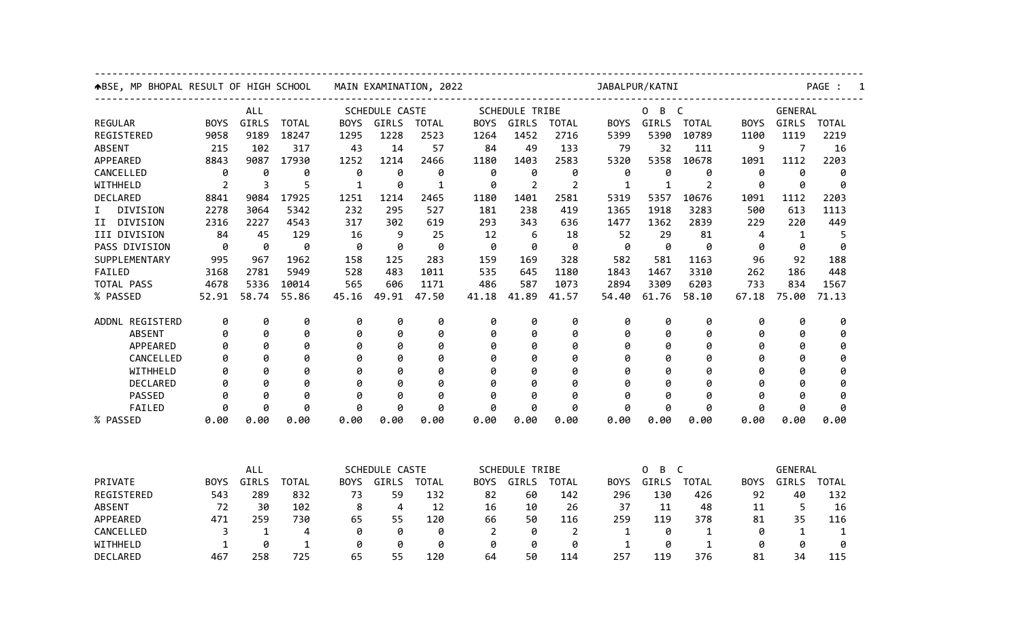| ABSE, MP BHOPAL RESULT OF HIGH SCHOOL |                             |              |              | MAIN EXAMINATION, 2022 |                |              |             |                                                               | JABALPUR/KATNI |              |                                                                |              |             |                                  | PAGE :       |  |  |
|---------------------------------------|-----------------------------|--------------|--------------|------------------------|----------------|--------------|-------------|---------------------------------------------------------------|----------------|--------------|----------------------------------------------------------------|--------------|-------------|----------------------------------|--------------|--|--|
| <b>ALL</b>                            |                             |              |              | SCHEDULE CASTE         |                |              |             | <b>SCHEDULE TRIBE</b>                                         |                |              | $\overline{C}$<br>0<br>B                                       |              |             | GENERAL                          |              |  |  |
| <b>REGULAR</b>                        | <b>BOYS</b>                 | GIRLS        | <b>TOTAL</b> | <b>BOYS</b>            | GIRLS          | <b>TOTAL</b> | <b>BOYS</b> | GIRLS                                                         | <b>TOTAL</b>   | <b>BOYS</b>  | GIRLS                                                          | <b>TOTAL</b> | <b>BOYS</b> | GIRLS                            | <b>TOTAL</b> |  |  |
| REGISTERED                            | 9058                        | 9189         | 18247        | 1295                   | 1228           | 2523         | 1264        | 1452                                                          | 2716           | 5399         | 5390                                                           | 10789        | 1100        | 1119                             | 2219         |  |  |
| <b>ABSENT</b>                         | 215                         | 102          | 317          | 43                     | 14             | 57           | 84          | 49                                                            | 133            | 79           | 32                                                             | 111          | 9           | 7                                | 16           |  |  |
| APPEARED                              | 8843                        | 9087         | 17930        | 1252                   | 1214           | 2466         | 1180        | 1403                                                          | 2583           | 5320         | 5358                                                           | 10678        | 1091        | 1112                             | 2203         |  |  |
| CANCELLED                             | 0                           | 0            | 0            | 0                      | 0              | 0            | 0           | 0                                                             | 0              | 0            | 0                                                              | 0            | ø           | 0                                | ø            |  |  |
| WITHHELD                              | 2                           | 3            | 5            | 1                      | 0              | 1            | 0           | $\overline{2}$                                                | $\overline{2}$ | 1            | $\mathbf{1}$                                                   | 2            | 0           | 0                                | 0            |  |  |
| <b>DECLARED</b>                       | 8841                        | 9084         | 17925        | 1251                   | 1214           | 2465         | 1180        | 1401                                                          | 2581           | 5319         | 5357                                                           | 10676        | 1091        | 1112                             | 2203         |  |  |
| DIVISION<br>I.                        | 2278                        | 3064         | 5342         | 232                    | 295            | 527          | 181         | 238                                                           | 419            | 1365         | 1918                                                           | 3283         | 500         | 613                              | 1113         |  |  |
| DIVISION<br>II                        | 2316                        | 2227         | 4543         | 317                    | 302            | 619          | 293         | 343                                                           | 636            | 1477         | 1362                                                           | 2839         | 229         | 220                              | 449          |  |  |
| III DIVISION                          | 84                          | 45           | 129          | 16                     | 9              | 25           | 12          | 6                                                             | 18             | 52           | 29                                                             | 81           | 4           | $\mathbf 1$                      | 5            |  |  |
| PASS DIVISION                         | 0                           | 0            | 0            | 0                      | 0              | 0            | 0           | 0                                                             | 0              | 0            | 0                                                              | 0            | 0           | 0                                | 0            |  |  |
| SUPPLEMENTARY                         | 995                         | 967          | 1962         | 158                    | 125            | 283          | 159         | 169                                                           | 328            | 582          | 581                                                            | 1163         | 96          | 92                               | 188          |  |  |
| FAILED                                | 3168                        | 2781         | 5949         | 528                    | 483            | 1011         | 535         | 645                                                           | 1180           | 1843         | 1467                                                           | 3310         | 262         | 186                              | 448          |  |  |
| TOTAL PASS                            | 4678                        | 5336         | 10014        | 565                    | 606            | 1171         | 486         | 587                                                           | 1073           | 2894         | 3309                                                           | 6203         | 733         | 834                              | 1567         |  |  |
| % PASSED                              | 52.91                       | 58.74        | 55.86        | 45.16                  | 49.91          | 47.50        | 41.18       | 41.89                                                         | 41.57          | 54.40        | 61.76                                                          | 58.10        | 67.18       | 75.00                            | 71.13        |  |  |
| ADDNL REGISTERD                       | 0                           | 0            | 0            | 0                      | 0              | 0            | 0           | 0                                                             | 0              | 0            | 0                                                              | 0            | 0           | 0                                | 0            |  |  |
| <b>ABSENT</b>                         | 0                           | 0            | 0            | 0                      | 0              | 0            | 0           | 0                                                             | 0              | 0            | 0                                                              | 0            | 0           | 0                                | 0            |  |  |
| APPEARED                              | 0                           | 0            | 0            | 0                      | 0              | 0            | 0           | 0                                                             | 0              | 0            | 0                                                              | 0            | 0           | Ø                                | 0            |  |  |
| CANCELLED                             | Ø                           | Ø            | 0            | 0                      | 0              | 0            | 0           | Ø                                                             | 0              | Ø            | 0                                                              | 0            | 0           | Ø                                | 0            |  |  |
| WITHHELD                              | ø                           | Ø            | 0            | ø                      | 0              | 0            | 0           | g                                                             | 0              | a            | 0                                                              | 0            | ø           | Ø                                | 0            |  |  |
| DECLARED                              | 0                           | Ø            | 0            | 0                      | 0              | 0            | 0           | Ø                                                             | 0              | Ø            | 0                                                              | 0            | 0           | Ø                                | 0            |  |  |
| <b>PASSED</b>                         | ø                           | 0            | 0            | ø                      | 0              | 0            | 0           | 0                                                             | 0              | ø            | 0                                                              | 0            | ø           | 0                                | ø            |  |  |
| FAILED                                | 0                           | A            | 0            | A                      | 0              | 0            | 0           | A                                                             | 0              | g            | 0                                                              | 0            | 0           | 0                                | 0            |  |  |
| % PASSED                              | 0.00                        | 0.00         | 0.00         | 0.00                   | 0.00           | 0.00         | 0.00        | 0.00                                                          | 0.00           | 0.00         | 0.00                                                           | 0.00         | 0.00        | 0.00                             | 0.00         |  |  |
|                                       |                             |              |              |                        |                |              |             |                                                               |                |              |                                                                |              |             |                                  |              |  |  |
|                                       | ALL<br>GIRLS<br><b>BOYS</b> |              |              | SCHEDULE CASTE         |                |              |             | <b>SCHEDULE TRIBE</b><br><b>BOYS</b><br>GIRLS<br><b>TOTAL</b> |                |              | $\mathsf{C}$<br>0<br>B<br>GIRLS<br><b>TOTAL</b><br><b>BOYS</b> |              |             | GENERAL<br>GIRLS<br><b>TOTAL</b> |              |  |  |
| PRIVATE                               |                             |              | <b>TOTAL</b> | <b>BOYS</b>            | GIRLS          | <b>TOTAL</b> |             |                                                               |                |              |                                                                |              | <b>BOYS</b> |                                  |              |  |  |
| REGISTERED                            | 543                         | 289          | 832          | 73                     | 59             | 132          | 82          | 60                                                            | 142            | 296          | 130                                                            | 426          | 92          | 40                               | 132          |  |  |
| <b>ABSENT</b>                         | 72                          | 30           | 102          | 8                      | $\overline{4}$ | 12           | 16          | 10                                                            | 26             | 37           | 11                                                             | 48           | 11          | 5                                | 16           |  |  |
| APPEARED                              | 471                         | 259          | 730          | 65                     | 55             | 120          | 66          | 50                                                            | 116            | 259          | 119                                                            | 378          | 81          | 35                               | 116          |  |  |
| CANCELLED                             | 3                           | $\mathbf{1}$ | 4            | 0                      | 0              | 0            | 2           | 0                                                             | 2              | 1            | 0                                                              | 1            | 0           | 1                                | 1            |  |  |
| WITHHELD                              | 1                           | 0            | $\mathbf{1}$ | 0                      | 0              | 0            | 0           | 0                                                             | 0              | $\mathbf{1}$ | 0                                                              | $\mathbf{1}$ | 0           | 0                                | 0            |  |  |
| DECLARED                              | 467                         | 258          | 725          | 65                     | 55             | 120          | 64          | 50                                                            | 114            | 257          | 119                                                            | 376          | 81          | 34                               | 115          |  |  |